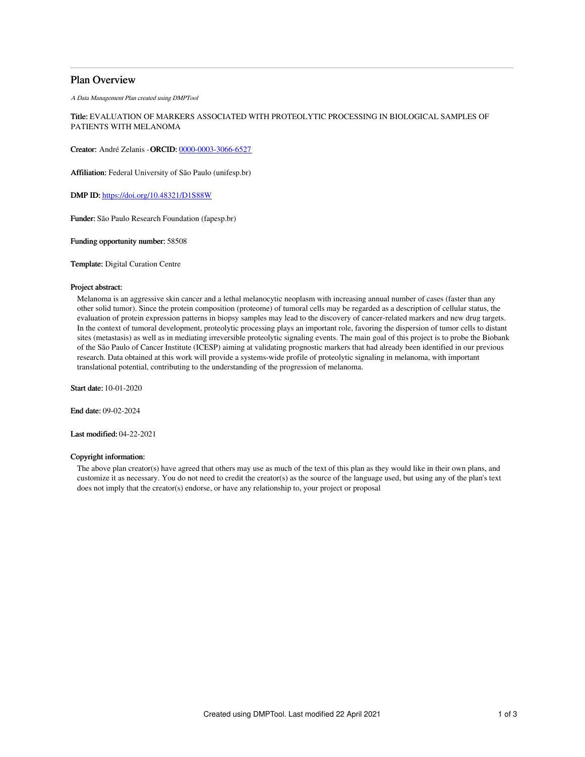# Plan Overview

A Data Management Plan created using DMPTool

Title: EVALUATION OF MARKERS ASSOCIATED WITH PROTEOLYTIC PROCESSING IN BIOLOGICAL SAMPLES OF PATIENTS WITH MELANOMA

Creator: André Zelanis -ORCID: [0000-0003-3066-6527](https://orcid.org/0000-0003-3066-6527)

Affiliation: Federal University of São Paulo (unifesp.br)

DMP ID: <https://doi.org/10.48321/D1S88W>

Funder: São Paulo Research Foundation (fapesp.br)

Funding opportunity number: 58508

Template: Digital Curation Centre

#### Project abstract:

Melanoma is an aggressive skin cancer and a lethal melanocytic neoplasm with increasing annual number of cases (faster than any other solid tumor). Since the protein composition (proteome) of tumoral cells may be regarded as a description of cellular status, the evaluation of protein expression patterns in biopsy samples may lead to the discovery of cancer-related markers and new drug targets. In the context of tumoral development, proteolytic processing plays an important role, favoring the dispersion of tumor cells to distant sites (metastasis) as well as in mediating irreversible proteolytic signaling events. The main goal of this project is to probe the Biobank of the São Paulo of Cancer Institute (ICESP) aiming at validating prognostic markers that had already been identified in our previous research. Data obtained at this work will provide a systems-wide profile of proteolytic signaling in melanoma, with important translational potential, contributing to the understanding of the progression of melanoma.

Start date: 10-01-2020

End date: 09-02-2024

Last modified: 04-22-2021

### Copyright information:

The above plan creator(s) have agreed that others may use as much of the text of this plan as they would like in their own plans, and customize it as necessary. You do not need to credit the creator(s) as the source of the language used, but using any of the plan's text does not imply that the creator(s) endorse, or have any relationship to, your project or proposal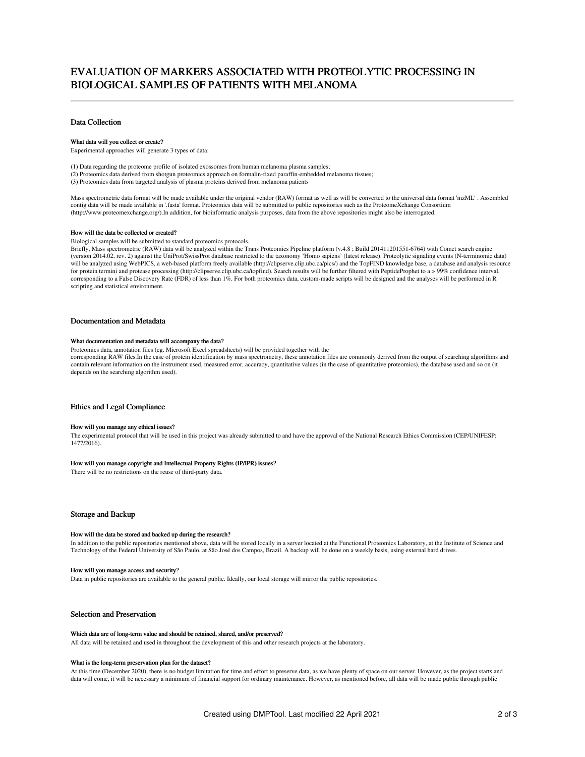# EVALUATION OF MARKERS ASSOCIATED WITH PROTEOLYTIC PROCESSING IN BIOLOGICAL SAMPLES OF PATIENTS WITH MELANOMA

### Data Collection

#### What data will you collect or create?

Experimental approaches will generate 3 types of data:

(1) Data regarding the proteome profile of isolated exossomes from human melanoma plasma samples; (2) Proteomics data derived from shotgun proteomics approach on formalin-fixed paraffin-embedded melanoma tissues;

(3) Proteomics data from targeted analysis of plasma proteins derived from melanoma patients

Mass spectrometric data format will be made available under the original vendor (RAW) format as well as will be converted to the universal data format 'mzML' . Assembled contig data will be made available in '.fasta' format. Proteomics data will be submitted to public repositories such as the ProteomeXchange Consortium (http://www.proteomexchange.org/).In addition, for bioinformatic analysis purposes, data from the above repositories might also be interrogated.

#### How will the data be collected or created?

Biological samples will be submitted to standard proteomics protocols.

Briefly, Mass spectrometric (RAW) data will be analyzed within the Trans Proteomics Pipeline platform (v.4.8 ; Build 201411201551-6764) with Comet search engine (version 2014.02, rev. 2) against the UniProt/SwissProt database restricted to the taxonomy 'Homo sapiens' (latest release). Proteolytic signaling events (N-terminomic data) will be analyzed using WebPICS, a web-based platform freely available (http://clipserve.clip.ubc.ca/pics/) and the TopFIND knowledge base, a database and analysis resource for protein termini and protease processing (http://clipserve.clip.ubc.ca/topfind). Search results will be further filtered with PeptideProphet to a > 99% confidence interval, corresponding to a False Discovery Rate (FDR) of less than 1%. For both proteomics data, custom-made scripts will be designed and the analyses will be performed in R scripting and statistical environment.

### Documentation and Metadata

#### What documentation and metadata will accompany the data?

Proteomics data, annotation files (eg. Microsoft Excel spreadsheets) will be provided together with the corresponding RAW files.In the case of protein identification by mass spectrometry, these annotation files are commonly derived from the output of searching algorithms and contain relevant information on the instrument used, measured error, accuracy, quantitative values (in the case of quantitative proteomics), the database used and so on (it depends on the searching algorithm used).

### Ethics and Legal Compliance

#### How will you manage any ethical issues?

The experimental protocol that will be used in this project was already submitted to and have the approval of the National Research Ethics Commission (CEP/UNIFESP: 1477/2016).

#### How will you manage copyright and Intellectual Property Rights (IP/IPR) issues?

There will be no restrictions on the reuse of third-party data.

#### Storage and Backup

#### How will the data be stored and backed up during the research?

In addition to the public repositories mentioned above, data will be stored locally in a server located at the Functional Proteomics Laboratory, at the Institute of Science and Technology of the Federal University of São Paulo, at São José dos Campos, Brazil. A backup will be done on a weekly basis, using external hard drives.

#### How will you manage access and security?

Data in public repositories are available to the general public. Ideally, our local storage will mirror the public repositories.

### Selection and Preservation

#### Which data are of long-term value and should be retained, shared, and/or preserved?

All data will be retained and used in throughout the development of this and other research projects at the laboratory.

#### What is the long-term preservation plan for the dataset?

At this time (December 2020), there is no budget limitation for time and effort to preserve data, as we have plenty of space on our server. However, as the project starts and data will come, it will be necessary a minimum of financial support for ordinary maintenance. However, as mentioned before, all data will be made public through public